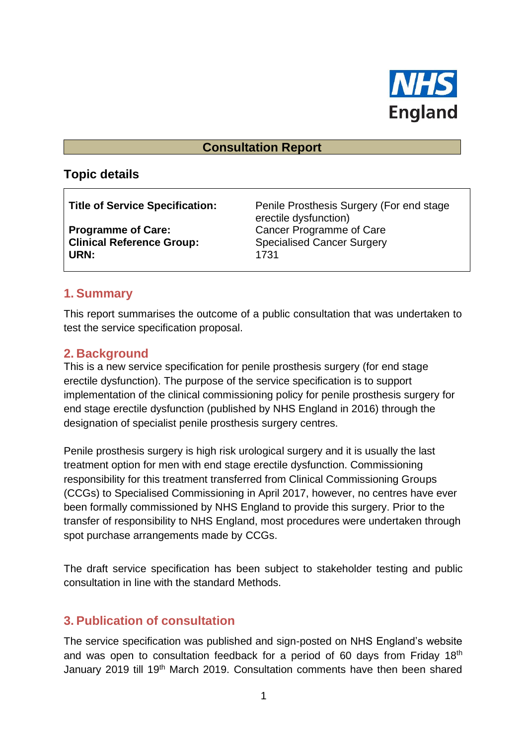

#### **Consultation Report**

## **Topic details**

**Clinical Reference Group:** Specialised Cancer Surgery **URN:** 1731

**Title of Service Specification:** Penile Prosthesis Surgery (For end stage erectile dysfunction) **Programme of Care:** Cancer Programme of Care

## **1. Summary**

This report summarises the outcome of a public consultation that was undertaken to test the service specification proposal.

## **2. Background**

This is a new service specification for penile prosthesis surgery (for end stage erectile dysfunction). The purpose of the service specification is to support implementation of the clinical commissioning policy for penile prosthesis surgery for end stage erectile dysfunction (published by NHS England in 2016) through the designation of specialist penile prosthesis surgery centres.

Penile prosthesis surgery is high risk urological surgery and it is usually the last treatment option for men with end stage erectile dysfunction. Commissioning responsibility for this treatment transferred from Clinical Commissioning Groups (CCGs) to Specialised Commissioning in April 2017, however, no centres have ever been formally commissioned by NHS England to provide this surgery. Prior to the transfer of responsibility to NHS England, most procedures were undertaken through spot purchase arrangements made by CCGs.

The draft service specification has been subject to stakeholder testing and public consultation in line with the standard Methods.

## **3. Publication of consultation**

The service specification was published and sign-posted on NHS England's website and was open to consultation feedback for a period of 60 days from Friday 18<sup>th</sup> January 2019 till 19th March 2019. Consultation comments have then been shared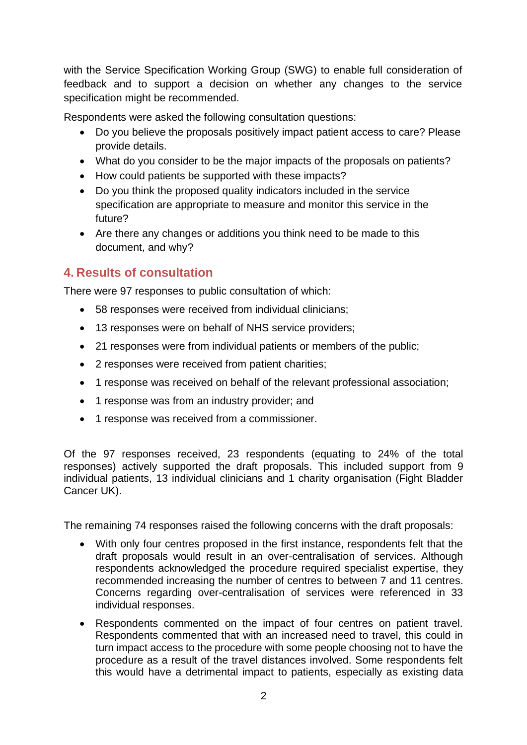with the Service Specification Working Group (SWG) to enable full consideration of feedback and to support a decision on whether any changes to the service specification might be recommended.

Respondents were asked the following consultation questions:

- Do you believe the proposals positively impact patient access to care? Please provide details.
- What do you consider to be the major impacts of the proposals on patients?
- How could patients be supported with these impacts?
- Do you think the proposed quality indicators included in the service specification are appropriate to measure and monitor this service in the future?
- Are there any changes or additions you think need to be made to this document, and why?

# **4. Results of consultation**

There were 97 responses to public consultation of which:

- 58 responses were received from individual clinicians;
- 13 responses were on behalf of NHS service providers;
- 21 responses were from individual patients or members of the public;
- 2 responses were received from patient charities;
- 1 response was received on behalf of the relevant professional association;
- 1 response was from an industry provider; and
- 1 response was received from a commissioner.

Of the 97 responses received, 23 respondents (equating to 24% of the total responses) actively supported the draft proposals. This included support from 9 individual patients, 13 individual clinicians and 1 charity organisation (Fight Bladder Cancer UK).

The remaining 74 responses raised the following concerns with the draft proposals:

- With only four centres proposed in the first instance, respondents felt that the draft proposals would result in an over-centralisation of services. Although respondents acknowledged the procedure required specialist expertise, they recommended increasing the number of centres to between 7 and 11 centres. Concerns regarding over-centralisation of services were referenced in 33 individual responses.
- Respondents commented on the impact of four centres on patient travel. Respondents commented that with an increased need to travel, this could in turn impact access to the procedure with some people choosing not to have the procedure as a result of the travel distances involved. Some respondents felt this would have a detrimental impact to patients, especially as existing data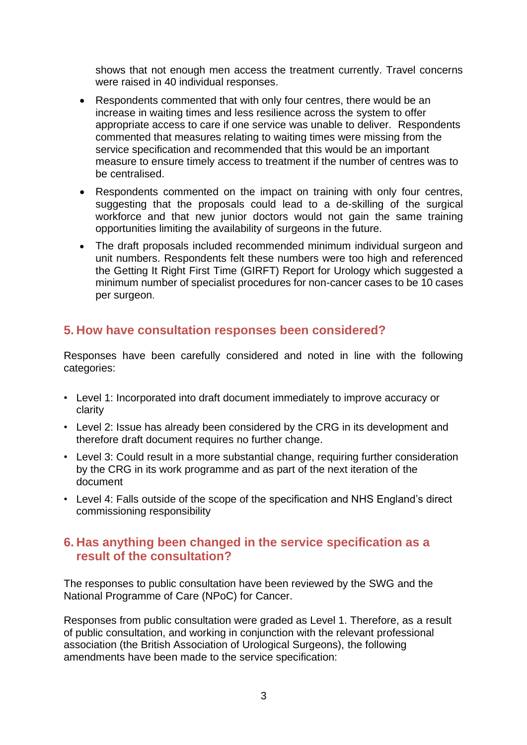shows that not enough men access the treatment currently. Travel concerns were raised in 40 individual responses.

- Respondents commented that with only four centres, there would be an increase in waiting times and less resilience across the system to offer appropriate access to care if one service was unable to deliver. Respondents commented that measures relating to waiting times were missing from the service specification and recommended that this would be an important measure to ensure timely access to treatment if the number of centres was to be centralised.
- Respondents commented on the impact on training with only four centres, suggesting that the proposals could lead to a de-skilling of the surgical workforce and that new junior doctors would not gain the same training opportunities limiting the availability of surgeons in the future.
- The draft proposals included recommended minimum individual surgeon and unit numbers. Respondents felt these numbers were too high and referenced the Getting It Right First Time (GIRFT) Report for Urology which suggested a minimum number of specialist procedures for non-cancer cases to be 10 cases per surgeon.

## **5. How have consultation responses been considered?**

Responses have been carefully considered and noted in line with the following categories:

- Level 1: Incorporated into draft document immediately to improve accuracy or clarity
- Level 2: Issue has already been considered by the CRG in its development and therefore draft document requires no further change.
- Level 3: Could result in a more substantial change, requiring further consideration by the CRG in its work programme and as part of the next iteration of the document
- Level 4: Falls outside of the scope of the specification and NHS England's direct commissioning responsibility

#### **6. Has anything been changed in the service specification as a result of the consultation?**

The responses to public consultation have been reviewed by the SWG and the National Programme of Care (NPoC) for Cancer.

Responses from public consultation were graded as Level 1. Therefore, as a result of public consultation, and working in conjunction with the relevant professional association (the British Association of Urological Surgeons), the following amendments have been made to the service specification: